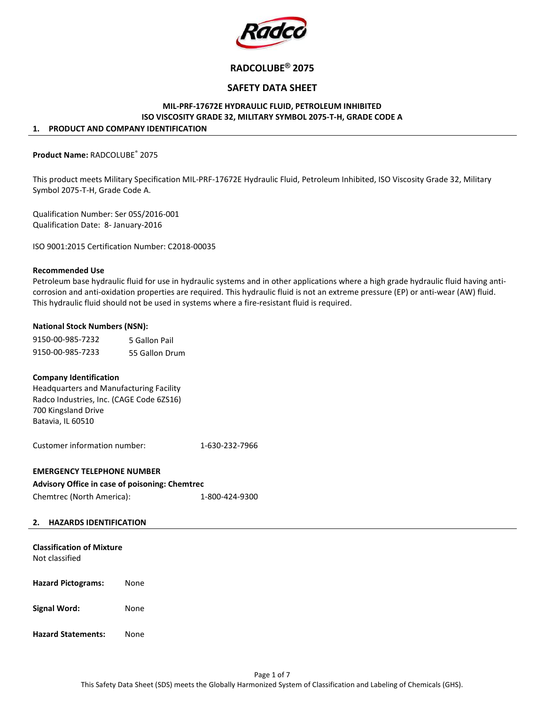

# RADCOLUBE® 2075

## SAFETY DATA SHEET

## MIL-PRF-17672E HYDRAULIC FLUID, PETROLEUM INHIBITED ISO VISCOSITY GRADE 32, MILITARY SYMBOL 2075-T-H, GRADE CODE A

#### 1. PRODUCT AND COMPANY IDENTIFICATION

### Product Name: RADCOLUBE® 2075

This product meets Military Specification MIL-PRF-17672E Hydraulic Fluid, Petroleum Inhibited, ISO Viscosity Grade 32, Military Symbol 2075-T-H, Grade Code A.

Qualification Number: Ser 05S/2016-001 Qualification Date: 8- January-2016

ISO 9001:2015 Certification Number: C2018-00035

#### Recommended Use

Petroleum base hydraulic fluid for use in hydraulic systems and in other applications where a high grade hydraulic fluid having anticorrosion and anti-oxidation properties are required. This hydraulic fluid is not an extreme pressure (EP) or anti-wear (AW) fluid. This hydraulic fluid should not be used in systems where a fire-resistant fluid is required.

### National Stock Numbers (NSN):

| 9150-00-985-7232 | 5 Gallon Pail  |  |  |
|------------------|----------------|--|--|
| 9150-00-985-7233 | 55 Gallon Drum |  |  |

### Company Identification

Headquarters and Manufacturing Facility Radco Industries, Inc. (CAGE Code 6ZS16) 700 Kingsland Drive Batavia, IL 60510

Customer information number: 1-630-232-7966

### EMERGENCY TELEPHONE NUMBER

### Advisory Office in case of poisoning: Chemtrec

Chemtrec (North America): 1-800-424-9300

#### 2. HAZARDS IDENTIFICATION

| <b>Classification of Mixture</b><br>Not classified |      |
|----------------------------------------------------|------|
| <b>Hazard Pictograms:</b>                          | None |
| <b>Signal Word:</b>                                | None |
| <b>Hazard Statements:</b>                          | None |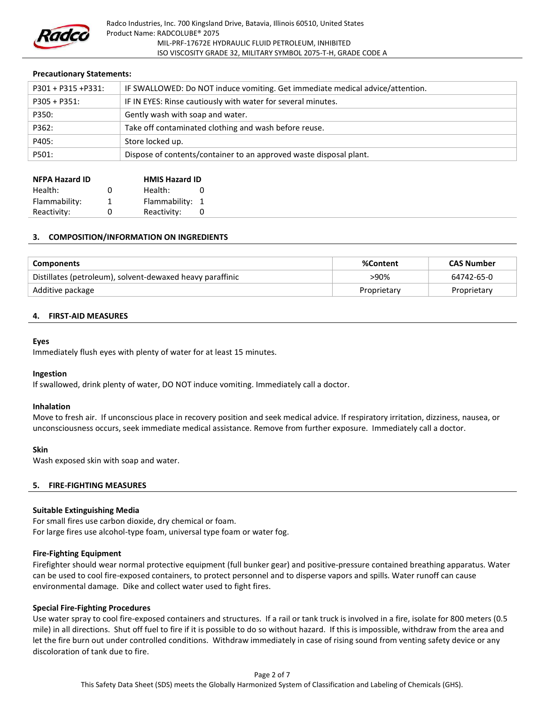

## Precautionary Statements:

| P301 + P315 +P331: | IF SWALLOWED: Do NOT induce vomiting. Get immediate medical advice/attention. |
|--------------------|-------------------------------------------------------------------------------|
| $P305 + P351$ :    | IF IN EYES: Rinse cautiously with water for several minutes.                  |
| P350:              | Gently wash with soap and water.                                              |
| P362:              | Take off contaminated clothing and wash before reuse.                         |
| P405:              | Store locked up.                                                              |
| P501:              | Dispose of contents/container to an approved waste disposal plant.            |

| <b>NFPA Hazard ID</b> |   | <b>HMIS Hazard ID</b> |          |
|-----------------------|---|-----------------------|----------|
| Health:               | n | Health:               | $\Omega$ |
| Flammability:         | 1 | Flammability:         | -1       |
| Reactivity:           | n | Reactivity:           | 0        |

## 3. COMPOSITION/INFORMATION ON INGREDIENTS

| Components                                                | %Content    | <b>CAS Number</b> |
|-----------------------------------------------------------|-------------|-------------------|
| Distillates (petroleum), solvent-dewaxed heavy paraffinic | >90%        | 64742-65-0        |
| Additive package                                          | Proprietary | Proprietary       |

### 4. FIRST-AID MEASURES

#### Eyes

Immediately flush eyes with plenty of water for at least 15 minutes.

#### Ingestion

If swallowed, drink plenty of water, DO NOT induce vomiting. Immediately call a doctor.

#### Inhalation

Move to fresh air. If unconscious place in recovery position and seek medical advice. If respiratory irritation, dizziness, nausea, or unconsciousness occurs, seek immediate medical assistance. Remove from further exposure. Immediately call a doctor.

#### Skin

Wash exposed skin with soap and water.

### 5. FIRE-FIGHTING MEASURES

### Suitable Extinguishing Media

For small fires use carbon dioxide, dry chemical or foam. For large fires use alcohol-type foam, universal type foam or water fog.

### Fire-Fighting Equipment

Firefighter should wear normal protective equipment (full bunker gear) and positive-pressure contained breathing apparatus. Water can be used to cool fire-exposed containers, to protect personnel and to disperse vapors and spills. Water runoff can cause environmental damage. Dike and collect water used to fight fires.

### Special Fire-Fighting Procedures

Use water spray to cool fire-exposed containers and structures. If a rail or tank truck is involved in a fire, isolate for 800 meters (0.5 mile) in all directions. Shut off fuel to fire if it is possible to do so without hazard. If this is impossible, withdraw from the area and let the fire burn out under controlled conditions. Withdraw immediately in case of rising sound from venting safety device or any discoloration of tank due to fire.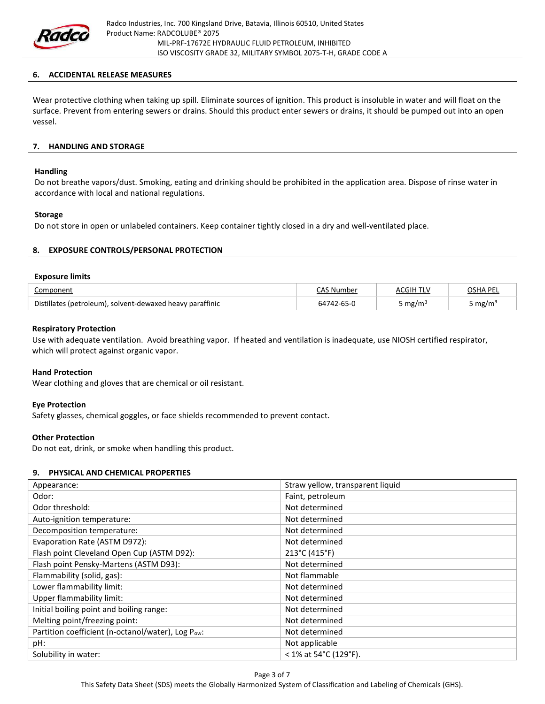

### 6. ACCIDENTAL RELEASE MEASURES

Wear protective clothing when taking up spill. Eliminate sources of ignition. This product is insoluble in water and will float on the surface. Prevent from entering sewers or drains. Should this product enter sewers or drains, it should be pumped out into an open vessel.

## 7. HANDLING AND STORAGE

#### Handling

Do not breathe vapors/dust. Smoking, eating and drinking should be prohibited in the application area. Dispose of rinse water in accordance with local and national regulations.

### Storage

Do not store in open or unlabeled containers. Keep container tightly closed in a dry and well-ventilated place.

## 8. EXPOSURE CONTROLS/PERSONAL PROTECTION

#### Exposure limits

| Component                                                 |            | <b>ACGIH TLV</b> | OSHA PEL |
|-----------------------------------------------------------|------------|------------------|----------|
| Distillates (petroleum), solvent-dewaxed heavy paraffinic | 64742-65-0 | mg/m             | mg/m     |

### Respiratory Protection

Use with adequate ventilation. Avoid breathing vapor. If heated and ventilation is inadequate, use NIOSH certified respirator, which will protect against organic vapor.

### Hand Protection

Wear clothing and gloves that are chemical or oil resistant.

### Eye Protection

Safety glasses, chemical goggles, or face shields recommended to prevent contact.

### Other Protection

Do not eat, drink, or smoke when handling this product.

### 9. PHYSICAL AND CHEMICAL PROPERTIES

| Appearance:                                       | Straw yellow, transparent liquid |
|---------------------------------------------------|----------------------------------|
| Odor:                                             | Faint, petroleum                 |
| Odor threshold:                                   | Not determined                   |
| Auto-ignition temperature:                        | Not determined                   |
| Decomposition temperature:                        | Not determined                   |
| Evaporation Rate (ASTM D972):                     | Not determined                   |
| Flash point Cleveland Open Cup (ASTM D92):        | 213°C (415°F)                    |
| Flash point Pensky-Martens (ASTM D93):            | Not determined                   |
| Flammability (solid, gas):                        | Not flammable                    |
| Lower flammability limit:                         | Not determined                   |
| Upper flammability limit:                         | Not determined                   |
| Initial boiling point and boiling range:          | Not determined                   |
| Melting point/freezing point:                     | Not determined                   |
| Partition coefficient (n-octanol/water), Log Pow: | Not determined                   |
| pH:                                               | Not applicable                   |
| Solubility in water:                              | < 1% at 54°C (129°F).            |

This Safety Data Sheet (SDS) meets the Globally Harmonized System of Classification and Labeling of Chemicals (GHS).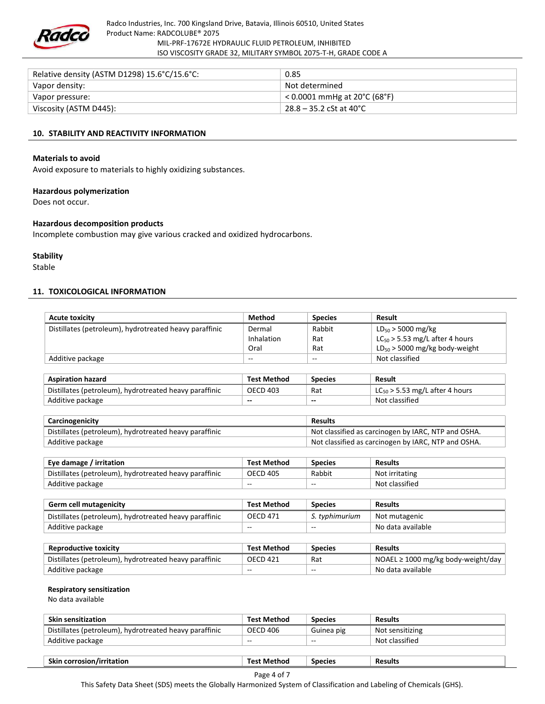

| Relative density (ASTM D1298) 15.6°C/15.6°C: | 0.85                           |
|----------------------------------------------|--------------------------------|
| Vapor density:                               | Not determined                 |
| Vapor pressure:                              | $<$ 0.0001 mmHg at 20°C (68°F) |
| Viscosity (ASTM D445):                       | $28.8 - 35.2$ cSt at 40°C      |

## 10. STABILITY AND REACTIVITY INFORMATION

#### Materials to avoid

Avoid exposure to materials to highly oxidizing substances.

#### Hazardous polymerization

Does not occur.

#### Hazardous decomposition products

Incomplete combustion may give various cracked and oxidized hydrocarbons.

#### **Stability**

Stable

#### 11. TOXICOLOGICAL INFORMATION

| <b>Acute toxicity</b>                                  | <b>Method</b>                                       | <b>Species</b>           | Result                              |
|--------------------------------------------------------|-----------------------------------------------------|--------------------------|-------------------------------------|
| Distillates (petroleum), hydrotreated heavy paraffinic | Dermal                                              | Rabbit                   | $LD_{50}$ > 5000 mg/kg              |
|                                                        | Inhalation                                          | Rat                      | $LC_{50}$ > 5.53 mg/L after 4 hours |
|                                                        | Oral                                                | Rat                      | $LD_{50}$ > 5000 mg/kg body-weight  |
| Additive package                                       | $- -$                                               | --                       | Not classified                      |
|                                                        |                                                     |                          |                                     |
| <b>Aspiration hazard</b>                               | <b>Test Method</b>                                  | <b>Species</b>           | Result                              |
| Distillates (petroleum), hydrotreated heavy paraffinic | <b>OECD 403</b>                                     | Rat                      | $LC_{50}$ > 5.53 mg/L after 4 hours |
| Additive package                                       | --                                                  | $\overline{\phantom{a}}$ | Not classified                      |
|                                                        |                                                     |                          |                                     |
| Carcinogenicity<br><b>Results</b>                      |                                                     |                          |                                     |
| Distillates (petroleum), hydrotreated heavy paraffinic | Not classified as carcinogen by IARC, NTP and OSHA. |                          |                                     |
| Additive package                                       | Not classified as carcinogen by IARC, NTP and OSHA. |                          |                                     |
|                                                        |                                                     |                          |                                     |
| Eye damage / irritation                                | <b>Test Method</b>                                  | <b>Species</b>           | <b>Results</b>                      |
| Distillates (petroleum), hydrotreated heavy paraffinic | <b>OECD 405</b>                                     | Rabbit                   | Not irritating                      |
| Additive package                                       |                                                     | --                       | Not classified                      |
|                                                        |                                                     |                          |                                     |
| <b>Germ cell mutagenicity</b>                          | <b>Test Method</b>                                  | <b>Species</b>           | <b>Results</b>                      |
| Distillates (petroleum), hydrotreated heavy paraffinic | <b>OECD 471</b>                                     | S. typhimurium           | Not mutagenic                       |
| Additive package                                       | --                                                  | $-$                      | No data available                   |

| <b>Reproductive toxicity</b>                           | <b>Test Method</b> | Species | <b>Results</b>                          |
|--------------------------------------------------------|--------------------|---------|-----------------------------------------|
| Distillates (petroleum), hydrotreated heavy paraffinic | <b>OECD 421</b>    | Rat     | NOAEL $\geq 1000$ mg/kg body-weight/day |
| Additive package                                       | $- -$              | $- -$   | No data available                       |

#### Respiratory sensitization

No data available

| <b>Skin sensitization</b>                              | <b>Test Method</b> | <b>Species</b> | <b>Results</b>  |
|--------------------------------------------------------|--------------------|----------------|-----------------|
| Distillates (petroleum), hydrotreated heavy paraffinic | OECD 406           | Guinea pig     | Not sensitizing |
| Additive package                                       | $- -$              | $-$            | Not classified  |
|                                                        |                    |                |                 |

Skin corrosion/irritation Test Method Species Results

Page 4 of 7

This Safety Data Sheet (SDS) meets the Globally Harmonized System of Classification and Labeling of Chemicals (GHS).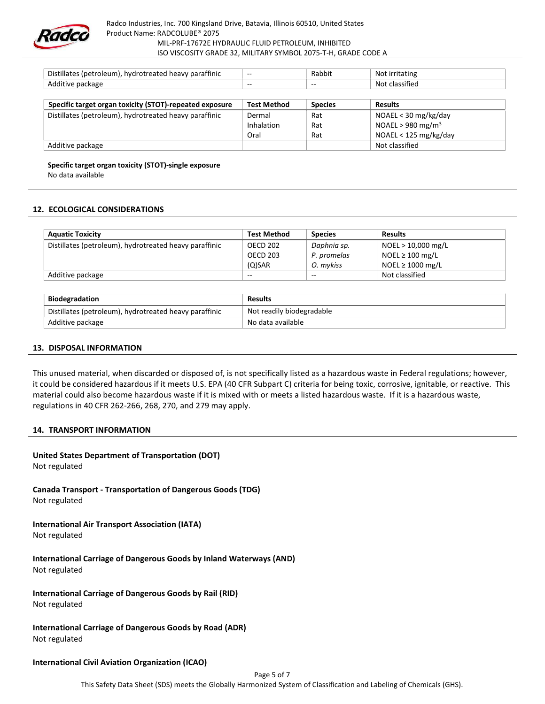

| Distillates (petroleum), hydrotreated heavy paraffinic  | $\sim$             | Rabbit         | Not irritating                |
|---------------------------------------------------------|--------------------|----------------|-------------------------------|
| Additive package                                        | $- -$              | $- -$          | Not classified                |
|                                                         |                    |                |                               |
| Specific target organ toxicity (STOT)-repeated exposure | <b>Test Method</b> | <b>Species</b> | <b>Results</b>                |
| Distillates (petroleum), hydrotreated heavy paraffinic  | Dermal             | Rat            | $NOAEL < 30$ mg/kg/day        |
|                                                         | Inhalation         | Rat            | NOAEL > 980 mg/m <sup>3</sup> |
|                                                         | Oral               | Rat            | NOAEL < 125 mg/kg/day         |
| Additive package                                        |                    |                | Not classified                |

Specific target organ toxicity (STOT)-single exposure

No data available

### 12. ECOLOGICAL CONSIDERATIONS

| <b>Aquatic Toxicity</b>                                | <b>Test Method</b> | <b>Species</b> | <b>Results</b>        |
|--------------------------------------------------------|--------------------|----------------|-----------------------|
| Distillates (petroleum), hydrotreated heavy paraffinic | OECD 202           | Daphnia sp.    | NOEL > 10,000 mg/L    |
|                                                        | <b>OECD 203</b>    | P. promelas    | NOEL $\geq 100$ mg/L  |
|                                                        | $(O)$ SAR          | O. mykiss      | NOEL $\geq 1000$ mg/L |
| Additive package                                       | $- -$              | $-$            | Not classified        |

| <b>Biodegradation</b>                                  | <b>Results</b>            |
|--------------------------------------------------------|---------------------------|
| Distillates (petroleum), hydrotreated heavy paraffinic | Not readily biodegradable |
| Additive package                                       | No data available         |

#### 13. DISPOSAL INFORMATION

This unused material, when discarded or disposed of, is not specifically listed as a hazardous waste in Federal regulations; however, it could be considered hazardous if it meets U.S. EPA (40 CFR Subpart C) criteria for being toxic, corrosive, ignitable, or reactive. This material could also become hazardous waste if it is mixed with or meets a listed hazardous waste. If it is a hazardous waste, regulations in 40 CFR 262-266, 268, 270, and 279 may apply.

#### 14. TRANSPORT INFORMATION

# United States Department of Transportation (DOT)

Not regulated

Canada Transport - Transportation of Dangerous Goods (TDG) Not regulated

# International Air Transport Association (IATA)

Not regulated

International Carriage of Dangerous Goods by Inland Waterways (AND) Not regulated

International Carriage of Dangerous Goods by Rail (RID)

Not regulated

International Carriage of Dangerous Goods by Road (ADR) Not regulated

### International Civil Aviation Organization (ICAO)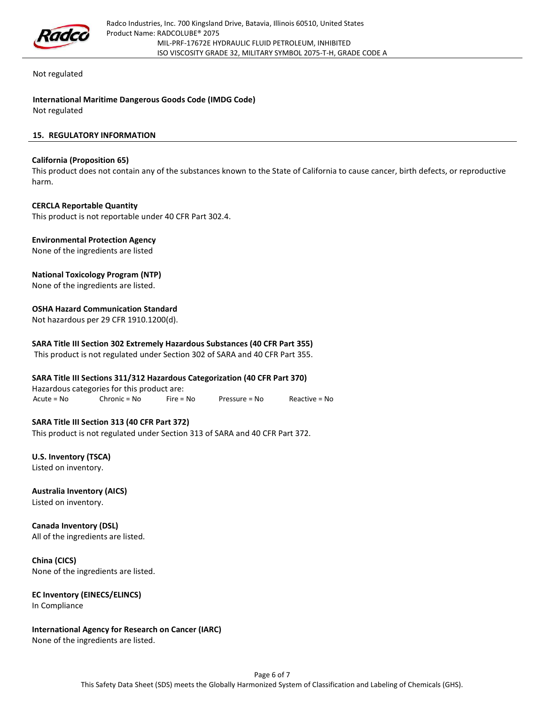

Not regulated

International Maritime Dangerous Goods Code (IMDG Code) Not regulated

## 15. REGULATORY INFORMATION

## California (Proposition 65)

This product does not contain any of the substances known to the State of California to cause cancer, birth defects, or reproductive harm.

### CERCLA Reportable Quantity

This product is not reportable under 40 CFR Part 302.4.

## Environmental Protection Agency

None of the ingredients are listed

## National Toxicology Program (NTP)

None of the ingredients are listed.

## OSHA Hazard Communication Standard

Not hazardous per 29 CFR 1910.1200(d).

## SARA Title III Section 302 Extremely Hazardous Substances (40 CFR Part 355)

This product is not regulated under Section 302 of SARA and 40 CFR Part 355.

### SARA Title III Sections 311/312 Hazardous Categorization (40 CFR Part 370)

Hazardous categories for this product are: Acute = No Chronic = No Fire = No Pressure = No Reactive = No

## SARA Title III Section 313 (40 CFR Part 372)

This product is not regulated under Section 313 of SARA and 40 CFR Part 372.

U.S. Inventory (TSCA) Listed on inventory.

Australia Inventory (AICS) Listed on inventory.

Canada Inventory (DSL) All of the ingredients are listed.

China (CICS) None of the ingredients are listed.

# EC Inventory (EINECS/ELINCS)

In Compliance

# International Agency for Research on Cancer (IARC)

None of the ingredients are listed.